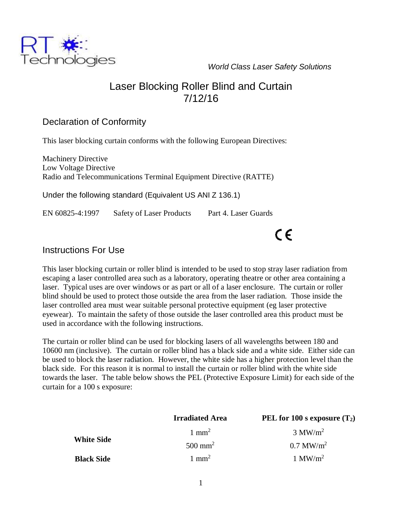*World Class Laser Safety Solutions*



#### Declaration of Conformity

Technologies

This laser blocking curtain conforms with the following European Directives:

Machinery Directive Low Voltage Directive Radio and Telecommunications Terminal Equipment Directive (RATTE)

Under the following standard (Equivalent US ANI Z 136.1)

EN 60825-4:1997 Safety of Laser Products Part 4. Laser Guards

# $\epsilon$

#### Instructions For Use

This laser blocking curtain or roller blind is intended to be used to stop stray laser radiation from escaping a laser controlled area such as a laboratory, operating theatre or other area containing a laser. Typical uses are over windows or as part or all of a laser enclosure. The curtain or roller blind should be used to protect those outside the area from the laser radiation. Those inside the laser controlled area must wear suitable personal protective equipment (eg laser protective eyewear). To maintain the safety of those outside the laser controlled area this product must be used in accordance with the following instructions.

The curtain or roller blind can be used for blocking lasers of all wavelengths between 180 and 10600 nm (inclusive). The curtain or roller blind has a black side and a white side. Either side can be used to block the laser radiation. However, the white side has a higher protection level than the black side. For this reason it is normal to install the curtain or roller blind with the white side towards the laser. The table below shows the PEL (Protective Exposure Limit) for each side of the curtain for a 100 s exposure:

|                   | <b>Irradiated Area</b> | PEL for 100 s exposure $(T_2)$ |
|-------------------|------------------------|--------------------------------|
| <b>White Side</b> | $1 \text{ mm}^2$       | $3 \text{ MW/m}^2$             |
|                   | $500$ mm <sup>2</sup>  | $0.7$ MW/m <sup>2</sup>        |
| <b>Black Side</b> | $1 \text{ mm}^2$       | 1 MW/ $m^2$                    |